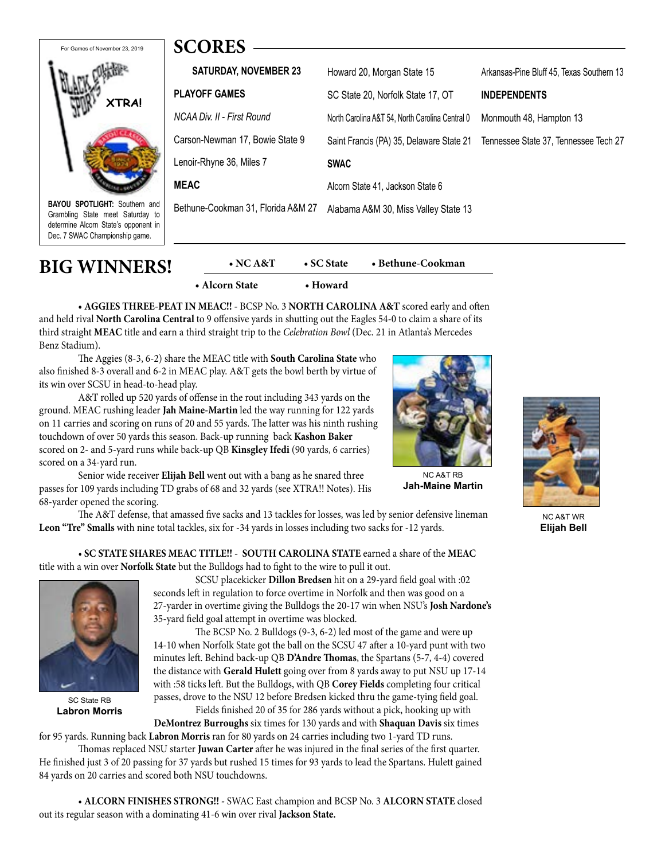

**BAYOU SPOTLIGHT:** Southern and Grambling State meet Saturday to determine Alcorn State's opponent in Dec. 7 SWAC Championship game.

| SUUKES                             |                                                 |                                           |
|------------------------------------|-------------------------------------------------|-------------------------------------------|
| <b>SATURDAY, NOVEMBER 23</b>       | Howard 20, Morgan State 15                      | Arkansas-Pine Bluff 45, Texas Southern 13 |
| <b>PLAYOFF GAMES</b>               | SC State 20. Norfolk State 17, OT               | <b>INDEPENDENTS</b>                       |
| NCAA Div. II - First Round         | North Carolina A&T 54. North Carolina Central 0 | Monmouth 48, Hampton 13                   |
| Carson-Newman 17, Bowie State 9    | Saint Francis (PA) 35, Delaware State 21        | Tennessee State 37, Tennessee Tech 27     |
| Lenoir-Rhyne 36, Miles 7           | <b>SWAC</b>                                     |                                           |
| <b>MEAC</b>                        | Alcorn State 41, Jackson State 6                |                                           |
| Bethune-Cookman 31, Florida A&M 27 | Alabama A&M 30, Miss Valley State 13            |                                           |
|                                    |                                                 |                                           |

| <b>BIG WINNERS!</b> | $\bullet$ NC A&T | $\bullet$ SC State | • Bethune-Cookman |
|---------------------|------------------|--------------------|-------------------|
|                     | • Alcorn State   | • Howard           |                   |

**• AGGIES THREE-PEAT IN MEAC!! -** BCSP No. 3 **NORTH CAROLINA A&T** scored early and often and held rival **North Carolina Central** to 9 offensive yards in shutting out the Eagles 54-0 to claim a share of its third straight **MEAC** title and earn a third straight trip to the *Celebration Bowl* (Dec. 21 in Atlanta's Mercedes Benz Stadium).

The Aggies (8-3, 6-2) share the MEAC title with **South Carolina State** who also finished 8-3 overall and 6-2 in MEAC play. A&T gets the bowl berth by virtue of its win over SCSU in head-to-head play.

**SCORES**

A&T rolled up 520 yards of offense in the rout including 343 yards on the ground. MEAC rushing leader **Jah Maine-Martin** led the way running for 122 yards on 11 carries and scoring on runs of 20 and 55 yards. The latter was his ninth rushing touchdown of over 50 yards this season. Back-up running back **Kashon Baker**  scored on 2- and 5-yard runs while back-up QB **Kinsgley Ifedi** (90 yards, 6 carries) scored on a 34-yard run.



NC A&T RB **Jah-Maine Martin**

Senior wide receiver **Elijah Bell** went out with a bang as he snared three passes for 109 yards including TD grabs of 68 and 32 yards (see XTRA!! Notes). His 68-yarder opened the scoring.

The A&T defense, that amassed five sacks and 13 tackles for losses, was led by senior defensive lineman **Leon "Tre" Smalls** with nine total tackles, six for -34 yards in losses including two sacks for -12 yards.

 *•* **SC STATE SHARES MEAC TITLE!!** *-* **SOUTH CAROLINA STATE** earned a share of the **MEAC**  title with a win over **Norfolk State** but the Bulldogs had to fight to the wire to pull it out.



SC State RB **Labron Morris**

 SCSU placekicker **Dillon Bredsen** hit on a 29-yard field goal with :02 seconds left in regulation to force overtime in Norfolk and then was good on a 27-yarder in overtime giving the Bulldogs the 20-17 win when NSU's **Josh Nardone's**  35-yard field goal attempt in overtime was blocked.

 The BCSP No. 2 Bulldogs (9-3, 6-2) led most of the game and were up 14-10 when Norfolk State got the ball on the SCSU 47 after a 10-yard punt with two minutes left. Behind back-up QB **D'Andre Thomas**, the Spartans (5-7, 4-4) covered the distance with **Gerald Hulett** going over from 8 yards away to put NSU up 17-14 with :58 ticks left. But the Bulldogs, with QB **Corey Fields** completing four critical passes, drove to the NSU 12 before Bredsen kicked thru the game-tying field goal. Fields finished 20 of 35 for 286 yards without a pick, hooking up with

**DeMontrez Burroughs** six times for 130 yards and with **Shaquan Davis** six times for 95 yards. Running back **Labron Morris** ran for 80 yards on 24 carries including two 1-yard TD runs.

Thomas replaced NSU starter **Juwan Carter** after he was injured in the final series of the first quarter. He finished just 3 of 20 passing for 37 yards but rushed 15 times for 93 yards to lead the Spartans. Hulett gained 84 yards on 20 carries and scored both NSU touchdowns.

 • **ALCORN FINISHES STRONG!! -** SWAC East champion and BCSP No. 3 **ALCORN STATE** closed out its regular season with a dominating 41-6 win over rival **Jackson State.**



NC A&T WR **Elijah Bell**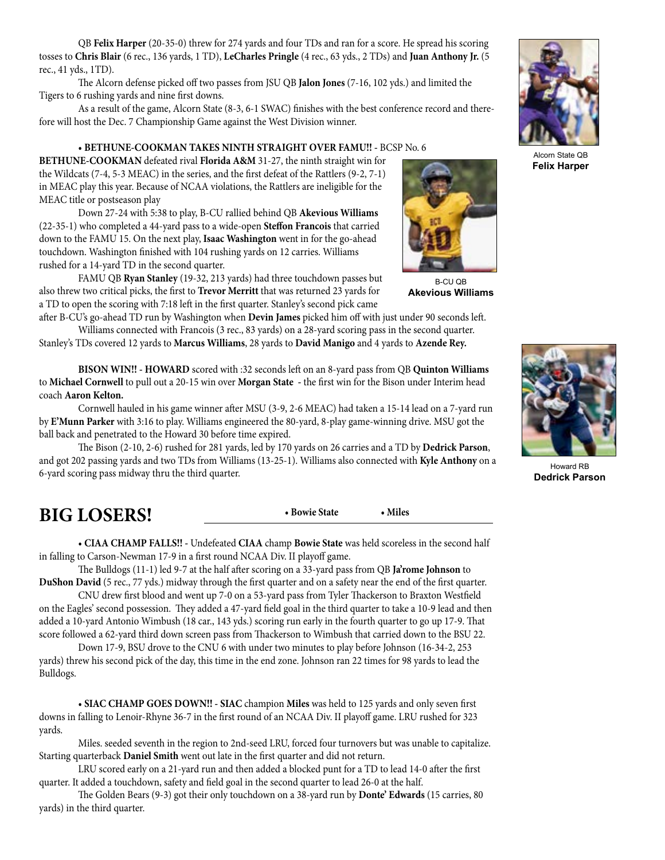QB **Felix Harper** (20-35-0) threw for 274 yards and four TDs and ran for a score. He spread his scoring tosses to **Chris Blair** (6 rec., 136 yards, 1 TD), **LeCharles Pringle** (4 rec., 63 yds., 2 TDs) and **Juan Anthony Jr.** (5 rec., 41 yds., 1TD).

The Alcorn defense picked off two passes from JSU QB **Jalon Jones** (7-16, 102 yds.) and limited the Tigers to 6 rushing yards and nine first downs.

As a result of the game, Alcorn State (8-3, 6-1 SWAC) finishes with the best conference record and therefore will host the Dec. 7 Championship Game against the West Division winner.

 • **BETHUNE-COOKMAN TAKES NINTH STRAIGHT OVER FAMU!! -** BCSP No. 6

**BETHUNE-COOKMAN** defeated rival **Florida A&M** 31-27, the ninth straight win for the Wildcats (7-4, 5-3 MEAC) in the series, and the first defeat of the Rattlers (9-2, 7-1) in MEAC play this year. Because of NCAA violations, the Rattlers are ineligible for the MEAC title or postseason play

Down 27-24 with 5:38 to play, B-CU rallied behind QB **Akevious Williams**  (22-35-1) who completed a 44-yard pass to a wide-open **Steffon Francois** that carried down to the FAMU 15. On the next play, **Isaac Washington** went in for the go-ahead touchdown. Washington finished with 104 rushing yards on 12 carries. Williams rushed for a 14-yard TD in the second quarter.

FAMU QB **Ryan Stanley** (19-32, 213 yards) had three touchdown passes but also threw two critical picks, the first to **Trevor Merritt** that was returned 23 yards for a TD to open the scoring with 7:18 left in the first quarter. Stanley's second pick came

after B-CU's go-ahead TD run by Washington when **Devin James** picked him off with just under 90 seconds left. Williams connected with Francois (3 rec., 83 yards) on a 28-yard scoring pass in the second quarter. Stanley's TDs covered 12 yards to **Marcus Williams**, 28 yards to **David Manigo** and 4 yards to **Azende Rey.**

**BISON WIN!! - HOWARD** scored with :32 seconds left on an 8-yard pass from QB **Quinton Williams**  to **Michael Cornwell** to pull out a 20-15 win over **Morgan State -** the first win for the Bison under Interim head coach **Aaron Kelton.**

Cornwell hauled in his game winner after MSU (3-9, 2-6 MEAC) had taken a 15-14 lead on a 7-yard run by **E'Munn Parker** with 3:16 to play. Williams engineered the 80-yard, 8-play game-winning drive. MSU got the ball back and penetrated to the Howard 30 before time expired.

The Bison (2-10, 2-6) rushed for 281 yards, led by 170 yards on 26 carries and a TD by **Dedrick Parson**, and got 202 passing yards and two TDs from Williams (13-25-1). Williams also connected with **Kyle Anthony** on a 6-yard scoring pass midway thru the third quarter.

| <b>BIG LOSERS!</b> | • Bowie State | <b>Miles</b> |
|--------------------|---------------|--------------|
|                    |               |              |

• **CIAA CHAMP FALLS!! -** Undefeated **CIAA** champ **Bowie State** was held scoreless in the second half in falling to Carson-Newman 17-9 in a first round NCAA Div. II playoff game.

The Bulldogs (11-1) led 9-7 at the half after scoring on a 33-yard pass from QB **Ja'rome Johnson** to **DuShon David** (5 rec., 77 yds.) midway through the first quarter and on a safety near the end of the first quarter.

CNU drew first blood and went up 7-0 on a 53-yard pass from Tyler Thackerson to Braxton Westfield on the Eagles' second possession. They added a 47-yard field goal in the third quarter to take a 10-9 lead and then added a 10-yard Antonio Wimbush (18 car., 143 yds.) scoring run early in the fourth quarter to go up 17-9. That score followed a 62-yard third down screen pass from Thackerson to Wimbush that carried down to the BSU 22.

Down 17-9, BSU drove to the CNU 6 with under two minutes to play before Johnson (16-34-2, 253 yards) threw his second pick of the day, this time in the end zone. Johnson ran 22 times for 98 yards to lead the Bulldogs.

• **SIAC CHAMP GOES DOWN!! - SIAC** champion **Miles** was held to 125 yards and only seven first downs in falling to Lenoir-Rhyne 36-7 in the first round of an NCAA Div. II playoff game. LRU rushed for 323 yards.

Miles. seeded seventh in the region to 2nd-seed LRU, forced four turnovers but was unable to capitalize. Starting quarterback **Daniel Smith** went out late in the first quarter and did not return.

LRU scored early on a 21-yard run and then added a blocked punt for a TD to lead 14-0 after the first quarter. It added a touchdown, safety and field goal in the second quarter to lead 26-0 at the half.

The Golden Bears (9-3) got their only touchdown on a 38-yard run by **Donte' Edwards** (15 carries, 80 yards) in the third quarter.

B-CU QB **Akevious Williams**



Howard RB **Dedrick Parson**





Alcorn State QB **Felix Harper**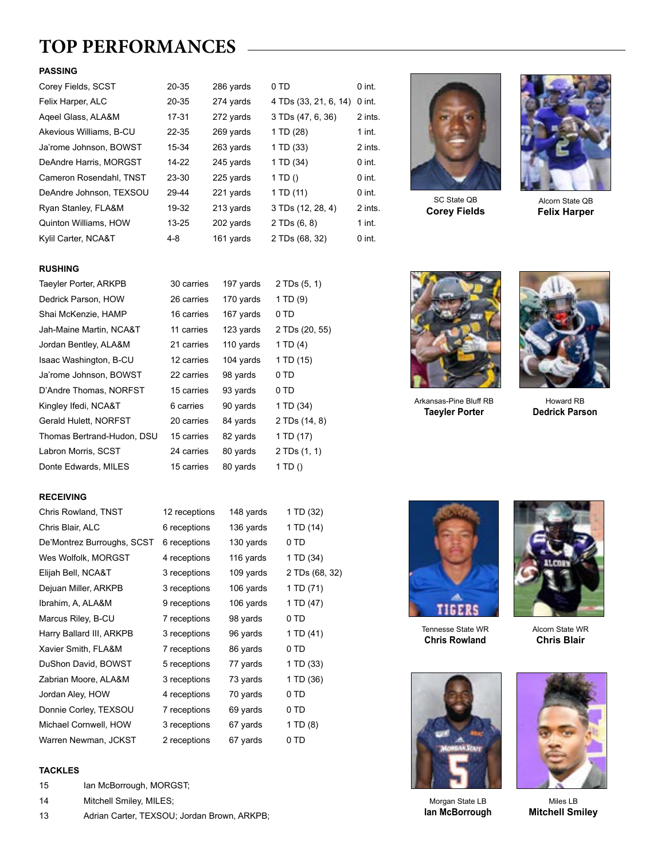# **TOP PERFORMANCES**

### **PASSING**

| Corey Fields, SCST      | 20-35     | 286 yards | 0 TD                  | $0$ int. |
|-------------------------|-----------|-----------|-----------------------|----------|
| Felix Harper, ALC       | 20-35     | 274 yards | 4 TDs (33, 21, 6, 14) | $0$ int. |
| Ageel Glass, ALA&M      | $17 - 31$ | 272 yards | 3 TDs (47, 6, 36)     | 2 ints.  |
| Akevious Williams, B-CU | $22 - 35$ | 269 vards | 1 TD (28)             | $1$ int. |
| Ja'rome Johnson, BOWST  | 15-34     | 263 yards | 1 TD (33)             | 2 ints.  |
| DeAndre Harris, MORGST  | 14-22     | 245 yards | 1 TD (34)             | $0$ int. |
| Cameron Rosendahl, TNST | 23-30     | 225 yards | 1 TD $()$             | $0$ int. |
| DeAndre Johnson, TEXSOU | 29-44     | 221 yards | 1 TD (11)             | $0$ int. |
| Ryan Stanley, FLA&M     | 19-32     | 213 yards | 3 TDs (12, 28, 4)     | 2 ints.  |
| Quinton Williams, HOW   | $13 - 25$ | 202 yards | 2 TDs(6, 8)           | $1$ int. |
| Kylil Carter, NCA&T     | $4 - 8$   | 161 yards | 2 TDs (68, 32)        | $0$ int. |

### **RUSHING**

| Taeyler Porter, ARKPB      | 30 carries | 197 yards | 2 TDs (5, 1)   |
|----------------------------|------------|-----------|----------------|
| Dedrick Parson, HOW        | 26 carries | 170 yards | $1$ TD $(9)$   |
| Shai McKenzie, HAMP        | 16 carries | 167 yards | 0 TD           |
| Jah-Maine Martin, NCA&T    | 11 carries | 123 yards | 2 TDs (20, 55) |
| Jordan Bentley, ALA&M      | 21 carries | 110 yards | 1 TD $(4)$     |
| Isaac Washington, B-CU     | 12 carries | 104 yards | 1 TD (15)      |
| Ja'rome Johnson, BOWST     | 22 carries | 98 yards  | 0 TD           |
| D'Andre Thomas, NORFST     | 15 carries | 93 yards  | 0 TD           |
| Kingley Ifedi, NCA&T       | 6 carries  | 90 yards  | 1 TD (34)      |
| Gerald Hulett, NORFST      | 20 carries | 84 yards  | 2 TDs (14, 8)  |
| Thomas Bertrand-Hudon, DSU | 15 carries | 82 yards  | 1 TD (17)      |
| Labron Morris, SCST        | 24 carries | 80 yards  | 2 TDs (1, 1)   |
| Donte Edwards, MILES       | 15 carries | 80 yards  | 1 TD()         |

### **RECEIVING**

| Chris Rowland, TNST        | 12 receptions | 148 yards | 1 TD (32)      |
|----------------------------|---------------|-----------|----------------|
| Chris Blair, ALC           | 6 receptions  | 136 yards | 1 TD (14)      |
| De'Montrez Burroughs, SCST | 6 receptions  | 130 yards | 0 TD           |
| Wes Wolfolk, MORGST        | 4 receptions  | 116 yards | 1 TD (34)      |
| Elijah Bell, NCA&T         | 3 receptions  | 109 yards | 2 TDs (68, 32) |
| Dejuan Miller, ARKPB       | 3 receptions  | 106 yards | 1 TD (71)      |
| Ibrahim, A, ALA&M          | 9 receptions  | 106 yards | 1 TD (47)      |
| Marcus Riley, B-CU         | 7 receptions  | 98 yards  | 0 TD           |
| Harry Ballard III, ARKPB   | 3 receptions  | 96 yards  | 1 TD (41)      |
| Xavier Smith, FLA&M        | 7 receptions  | 86 yards  | 0 TD           |
| DuShon David, BOWST        | 5 receptions  | 77 yards  | 1 TD (33)      |
| Zabrian Moore, ALA&M       | 3 receptions  | 73 yards  | 1 TD (36)      |
| Jordan Aley, HOW           | 4 receptions  | 70 yards  | 0 TD           |
| Donnie Corley, TEXSOU      | 7 receptions  | 69 yards  | 0 TD           |
| Michael Cornwell, HOW      | 3 receptions  | 67 yards  | 1 TD (8)       |
| Warren Newman, JCKST       | 2 receptions  | 67 yards  | 0 TD           |
|                            |               |           |                |

### **TACKLES**

- 15 Ian McBorrough, MORGST;
- 14 Mitchell Smiley, MILES;
- 13 Adrian Carter, TEXSOU; Jordan Brown, ARKPB;



SC State QB **Corey Fields**



Alcorn State QB **Felix Harper**



Arkansas-Pine Bluff RB **Taeyler Porter**



Howard RB **Dedrick Parson**



Tennesse State WR **Chris Rowland**



Alcorn State WR **Chris Blair**



Morgan State LB **Ian McBorrough**



Miles LB **Mitchell Smiley**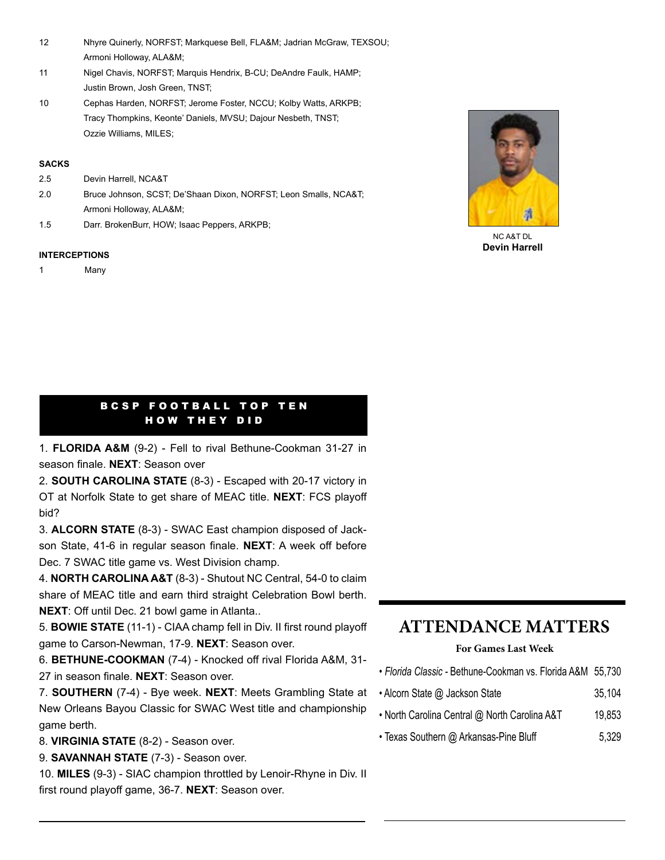- 12 Nhyre Quinerly, NORFST; Markquese Bell, FLA&M; Jadrian McGraw, TEXSOU; Armoni Holloway, ALA&M;
- 11 Nigel Chavis, NORFST; Marquis Hendrix, B-CU; DeAndre Faulk, HAMP; Justin Brown, Josh Green, TNST;
- 10 Cephas Harden, NORFST; Jerome Foster, NCCU; Kolby Watts, ARKPB; Tracy Thompkins, Keonte' Daniels, MVSU; Dajour Nesbeth, TNST; Ozzie Williams, MILES;

#### **SACKS**

- 2.5 Devin Harrell, NCA&T
- 2.0 Bruce Johnson, SCST; De'Shaan Dixon, NORFST; Leon Smalls, NCA&T; Armoni Holloway, ALA&M;
- 1.5 Darr. BrokenBurr, HOW; Isaac Peppers, ARKPB;

#### **INTERCEPTIONS**

1 Many



NC A&T DL **Devin Harrell**

### BCSP FOOTBALL TOP TEN HOW THEY DID

1. **FLORIDA A&M** (9-2) - Fell to rival Bethune-Cookman 31-27 in season finale. **NEXT**: Season over

2. **SOUTH CAROLINA STATE** (8-3) - Escaped with 20-17 victory in OT at Norfolk State to get share of MEAC title. **NEXT**: FCS playoff bid?

3. **ALCORN STATE** (8-3) - SWAC East champion disposed of Jackson State, 41-6 in regular season finale. **NEXT**: A week off before Dec. 7 SWAC title game vs. West Division champ.

4. **NORTH CAROLINA A&T** (8-3) - Shutout NC Central, 54-0 to claim share of MEAC title and earn third straight Celebration Bowl berth. **NEXT**: Off until Dec. 21 bowl game in Atlanta..

5. **BOWIE STATE** (11-1) - CIAA champ fell in Div. II first round playoff game to Carson-Newman, 17-9. **NEXT**: Season over.

6. **BETHUNE-COOKMAN** (7-4) - Knocked off rival Florida A&M, 31- 27 in season finale. **NEXT**: Season over.

7. **SOUTHERN** (7-4) - Bye week. **NEXT**: Meets Grambling State at New Orleans Bayou Classic for SWAC West title and championship game berth.

- 8. **VIRGINIA STATE** (8-2) Season over.
- 9. **SAVANNAH STATE** (7-3) Season over.

10. **MILES** (9-3) - SIAC champion throttled by Lenoir-Rhyne in Div. II first round playoff game, 36-7. **NEXT**: Season over.

### **ATTENDANCE MATTERS**

### **For Games Last Week**

- *Florida Classic* Bethune-Cookman vs. Florida A&M 55,730
- Alcorn State @ Jackson State 35,104
- North Carolina Central @ North Carolina A&T 19,853
- Texas Southern @ Arkansas-Pine Bluff 5,329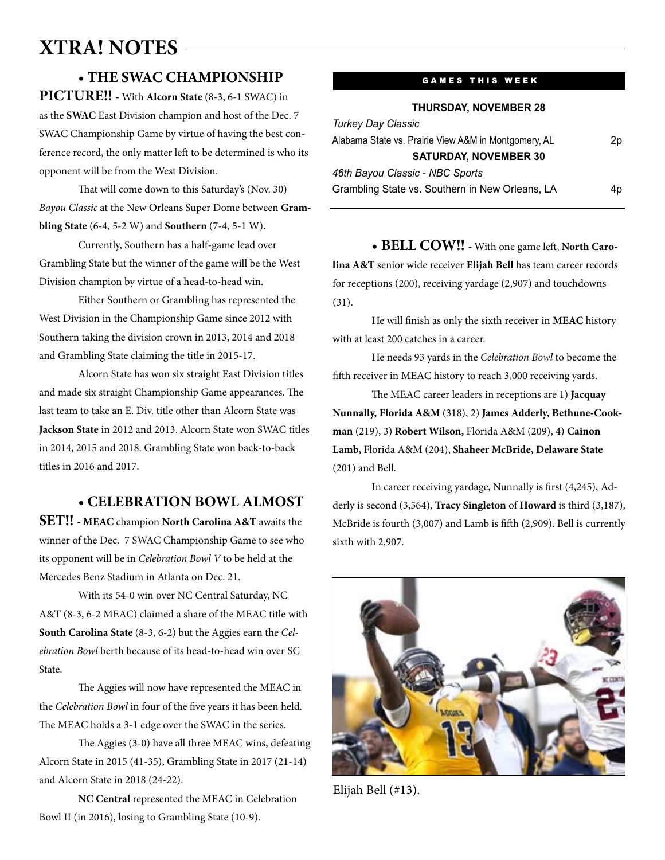# **XTRA! NOTES**

### • **THE SWAC CHAMPIONSHIP**

**PICTURE!! -** With **Alcorn State** (8-3, 6-1 SWAC) in as the **SWAC** East Division champion and host of the Dec. 7 SWAC Championship Game by virtue of having the best conference record, the only matter left to be determined is who its opponent will be from the West Division.

That will come down to this Saturday's (Nov. 30) *Bayou Classic* at the New Orleans Super Dome between **Grambling State** (6-4, 5-2 W) and **Southern** (7-4, 5-1 W)**.** 

Currently, Southern has a half-game lead over Grambling State but the winner of the game will be the West Division champion by virtue of a head-to-head win.

Either Southern or Grambling has represented the West Division in the Championship Game since 2012 with Southern taking the division crown in 2013, 2014 and 2018 and Grambling State claiming the title in 2015-17.

Alcorn State has won six straight East Division titles and made six straight Championship Game appearances. The last team to take an E. Div. title other than Alcorn State was **Jackson State** in 2012 and 2013. Alcorn State won SWAC titles in 2014, 2015 and 2018. Grambling State won back-to-back titles in 2016 and 2017.

### • **CELEBRATION BOWL ALMOST**

**SET!! - MEAC** champion **North Carolina A&T** awaits the winner of the Dec. 7 SWAC Championship Game to see who its opponent will be in *Celebration Bowl V* to be held at the Mercedes Benz Stadium in Atlanta on Dec. 21.

With its 54-0 win over NC Central Saturday, NC A&T (8-3, 6-2 MEAC) claimed a share of the MEAC title with **South Carolina State** (8-3, 6-2) but the Aggies earn the *Celebration Bowl* berth because of its head-to-head win over SC State.

The Aggies will now have represented the MEAC in the *Celebration Bowl* in four of the five years it has been held. The MEAC holds a 3-1 edge over the SWAC in the series.

The Aggies (3-0) have all three MEAC wins, defeating Alcorn State in 2015 (41-35), Grambling State in 2017 (21-14) and Alcorn State in 2018 (24-22).

**NC Central** represented the MEAC in Celebration Bowl II (in 2016), losing to Grambling State (10-9).

### **GAMES THIS WEEK**

**THURSDAY, NOVEMBER 28**

| <b>Turkey Day Classic</b>                            |    |
|------------------------------------------------------|----|
| Alabama State vs. Prairie View A&M in Montgomery, AL | 2p |
| <b>SATURDAY, NOVEMBER 30</b>                         |    |
| 46th Bayou Classic - NBC Sports                      |    |
| Grambling State vs. Southern in New Orleans, LA      | 4p |
|                                                      |    |

• **BELL COW!! -** With one game left, **North Carolina A&T** senior wide receiver **Elijah Bell** has team career records for receptions (200), receiving yardage (2,907) and touchdowns (31).

He will finish as only the sixth receiver in **MEAC** history with at least 200 catches in a career.

He needs 93 yards in the *Celebration Bowl* to become the fifth receiver in MEAC history to reach 3,000 receiving yards.

The MEAC career leaders in receptions are 1) **Jacquay Nunnally, Florida A&M** (318), 2) **James Adderly, Bethune-Cookman** (219), 3) **Robert Wilson,** Florida A&M (209), 4) **Cainon Lamb,** Florida A&M (204), **Shaheer McBride, Delaware State**  (201) and Bell.

In career receiving yardage, Nunnally is first (4,245), Adderly is second (3,564), **Tracy Singleton** of **Howard** is third (3,187), McBride is fourth (3,007) and Lamb is fifth (2,909). Bell is currently sixth with 2,907.



Elijah Bell (#13).